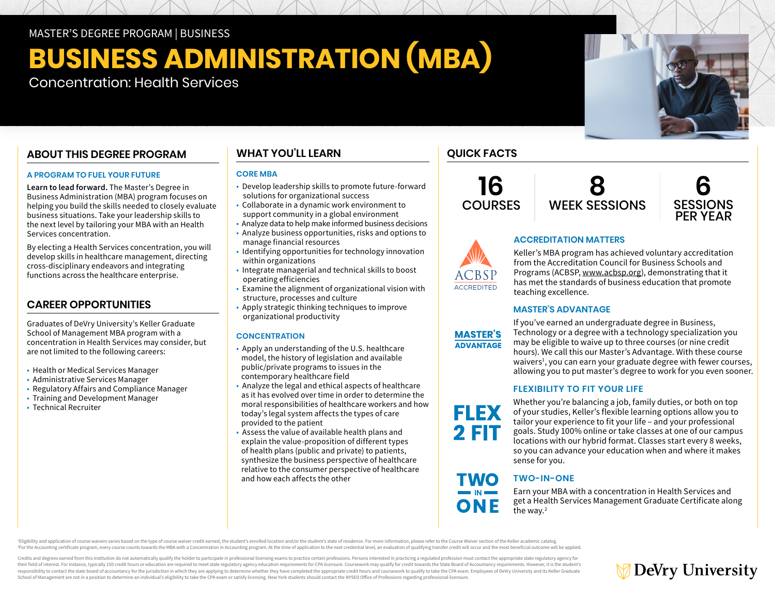MASTER'S DEGREE PROGRAM | BUSINESS

## **BUSINESS ADMINISTRATION (MBA)**

Concentration: Health Services

## **ABOUT THIS DEGREE PROGRAM**

#### **A PROGRAM TO FUEL YOUR FUTURE**

**Learn to lead forward.** The Master's Degree in Business Administration (MBA) program focuses on helping you build the skills needed to closely evaluate business situations. Take your leadership skills to the next level by tailoring your MBA with an Health Services concentration.

By electing a Health Services concentration, you will develop skills in healthcare management, directing cross-disciplinary endeavors and integrating functions across the healthcare enterprise.

## **CAREER OPPORTUNITIES**

Graduates of DeVry University's Keller Graduate School of Management MBA program with a concentration in Health Services may consider, but are not limited to the following careers:

- Health or Medical Services Manager
- Administrative Services Manager
- Regulatory Affairs and Compliance Manager
- Training and Development Manager
- Technical Recruiter

## **WHAT YOU'LL LEARN**

## **CORE MBA**

- Develop leadership skills to promote future-forward solutions for organizational success
- Collaborate in a dynamic work environment to support community in a global environment
- Analyze data to help make informed business decisions
- Analyze business opportunities, risks and options to manage financial resources
- Identifying opportunities for technology innovation within organizations
- Integrate managerial and technical skills to boost operating efficiencies
- Examine the alignment of organizational vision with structure, processes and culture
- Apply strategic thinking techniques to improve organizational productivity

## **CONCENTRATION**

- Apply an understanding of the U.S. healthcare model, the history of legislation and available public/private programs to issues in the contemporary healthcare field
- Analyze the legal and ethical aspects of healthcare as it has evolved over time in order to determine the moral responsibilities of healthcare workers and how today's legal system affects the types of care provided to the patient
- Assess the value of available health plans and explain the value-proposition of different types of health plans (public and private) to patients, synthesize the business perspective of healthcare relative to the consumer perspective of healthcare and how each affects the other

## **QUICK FACTS**

**16 COURSES** 





# **ACCREDITATION MATTERS**

Keller's MBA program has achieved voluntary accreditation from the Accreditation Council for Business Schools and Programs (ACBSP, [www.acbsp.org](https://www.acbsp.org)), demonstrating that it has met the standards of business education that promote teaching excellence.

## **MASTER'S ADVANTAGE**



**FLEX** 

**2 FIT** 

**TWO** 

ONE

**ACCREDITED** 

If you've earned an undergraduate degree in Business, Technology or a degree with a technology specialization you may be eligible to waive up to three courses (or nine credit hours). We call this our Master's Advantage. With these course waivers<sup>1</sup>, you can earn your graduate degree with fewer courses, allowing you to put master's degree to work for you even sooner.

## **FLEXIBILITY TO FIT YOUR LIFE**

Whether you're balancing a job, family duties, or both on top of your studies, Keller's flexible learning options allow you to tailor your experience to fit your life – and your professional goals. Study 100% online or take classes at one of our campus locations with our hybrid format. Classes start every 8 weeks, so you can advance your education when and where it makes sense for you.

## **TWO-IN-ONE**

Earn your MBA with a concentration in Health Services and get a Health Services Management Graduate Certificate along the way.<sup>2</sup>

Eligibility and application of course waivers varies based on the type of course waiver credit earned, the student's enrolled location and/or the student's state of residence. For more information, please refer to the Cour For the Accounting certificate program, every course counts towards the MBA with a Concentration in Accounting program. At the time of application to the next credential level, an evaluation of qualifying transfer credit w

Credits and degrees earned from this institution do not automatically qualify the holder to participate in professional licensing exams to practice certain professions. Persons interested in practicing a regulated professi their field of interest. For instance, typically 150 credit hours or education are required to meet state regulatory agency education requirements for CPA licensure. Coursework may qualify for credit towards the State Boar responsibility to contact the state board of accountancy for the jurisdiction in which they are applying to determine whether they have completed the appropriate credit hours and coursework to qualify to take the CPA exam. School of Management are not in a position to determine an individual's eligibility to take the CPA exam or satisfy licensing. New York students should contact the NYSED Office of Professions regarding professional licensu